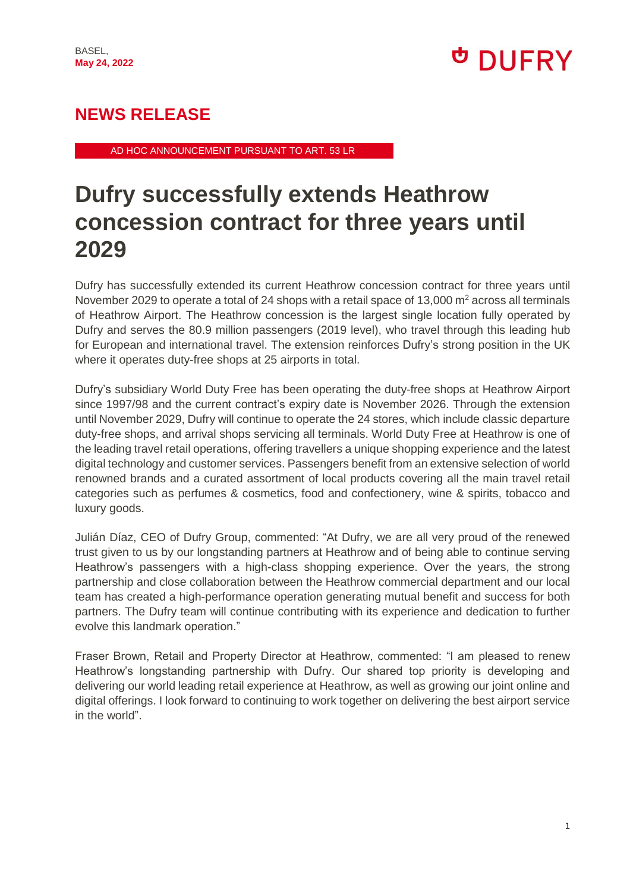# <sup>ታ</sup> DUFRY

### **NEWS RELEASE**

AD HOC ANNOUNCEMENT PURSUANT TO ART. 53 LR

## **Dufry successfully extends Heathrow concession contract for three years until 2029**

Dufry has successfully extended its current Heathrow concession contract for three years until November 2029 to operate a total of 24 shops with a retail space of 13,000  $m<sup>2</sup>$  across all terminals of Heathrow Airport. The Heathrow concession is the largest single location fully operated by Dufry and serves the 80.9 million passengers (2019 level), who travel through this leading hub for European and international travel. The extension reinforces Dufry's strong position in the UK where it operates duty-free shops at 25 airports in total.

Dufry's subsidiary World Duty Free has been operating the duty-free shops at Heathrow Airport since 1997/98 and the current contract's expiry date is November 2026. Through the extension until November 2029, Dufry will continue to operate the 24 stores, which include classic departure duty-free shops, and arrival shops servicing all terminals. World Duty Free at Heathrow is one of the leading travel retail operations, offering travellers a unique shopping experience and the latest digital technology and customer services. Passengers benefit from an extensive selection of world renowned brands and a curated assortment of local products covering all the main travel retail categories such as perfumes & cosmetics, food and confectionery, wine & spirits, tobacco and luxury goods.

Julián Díaz, CEO of Dufry Group, commented: "At Dufry, we are all very proud of the renewed trust given to us by our longstanding partners at Heathrow and of being able to continue serving Heathrow's passengers with a high-class shopping experience. Over the years, the strong partnership and close collaboration between the Heathrow commercial department and our local team has created a high-performance operation generating mutual benefit and success for both partners. The Dufry team will continue contributing with its experience and dedication to further evolve this landmark operation."

Fraser Brown, Retail and Property Director at Heathrow, commented: "I am pleased to renew Heathrow's longstanding partnership with Dufry. Our shared top priority is developing and delivering our world leading retail experience at Heathrow, as well as growing our joint online and digital offerings. I look forward to continuing to work together on delivering the best airport service in the world".